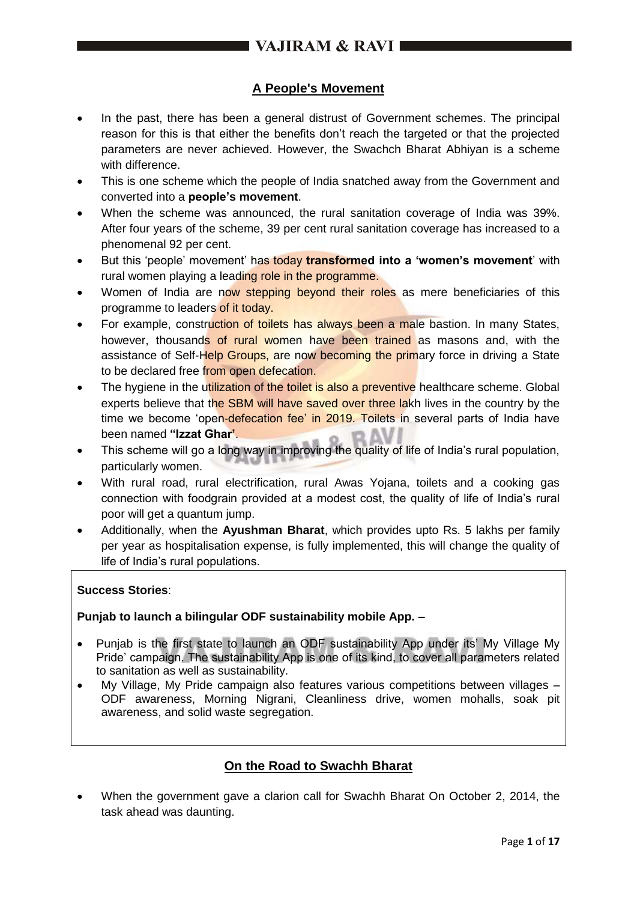## **A People's Movement**

- In the past, there has been a general distrust of Government schemes. The principal reason for this is that either the benefits don't reach the targeted or that the projected parameters are never achieved. However, the Swachch Bharat Abhiyan is a scheme with difference.
- This is one scheme which the people of India snatched away from the Government and converted into a **people's movement**.
- When the scheme was announced, the rural sanitation coverage of India was 39%. After four years of the scheme, 39 per cent rural sanitation coverage has increased to a phenomenal 92 per cent.
- But this 'people' movement' has today **transformed into a 'women's movement**' with rural women playing a leading role in the programme.
- Women of India are now stepping beyond their roles as mere beneficiaries of this programme to leaders of it today.
- For example, construction of toilets has always been a male bastion. In many States, however, thousands of rural women have been trained as masons and, with the assistance of Self-Help Groups, are now becoming the primary force in driving a State to be declared free from open defecation.
- The hygiene in the utilization of the toilet is also a preventive healthcare scheme. Global experts believe that the SBM will have saved over three lakh lives in the country by the time we become 'open-defecation fee' in 2019. Toilets in several parts of India have been named **"Izzat Ghar'**.
- This scheme will go a long way in improving the quality of life of India's rural population, particularly women.
- With rural road, rural electrification, rural Awas Yojana, toilets and a cooking gas connection with foodgrain provided at a modest cost, the quality of life of India's rural poor will get a quantum jump.
- Additionally, when the **Ayushman Bharat**, which provides upto Rs. 5 lakhs per family per year as hospitalisation expense, is fully implemented, this will change the quality of life of India's rural populations.

## **Success Stories**:

## **Punjab to launch a bilingular ODF sustainability mobile App. –**

- Punjab is the first state to launch an ODF sustainability App under its' My Village My Pride' campaign. The sustainability App is one of its kind, to cover all parameters related to sanitation as well as sustainability.
- My Village, My Pride campaign also features various competitions between villages ODF awareness, Morning Nigrani, Cleanliness drive, women mohalls, soak pit awareness, and solid waste segregation.

## **On the Road to Swachh Bharat**

 When the government gave a clarion call for Swachh Bharat On October 2, 2014, the task ahead was daunting.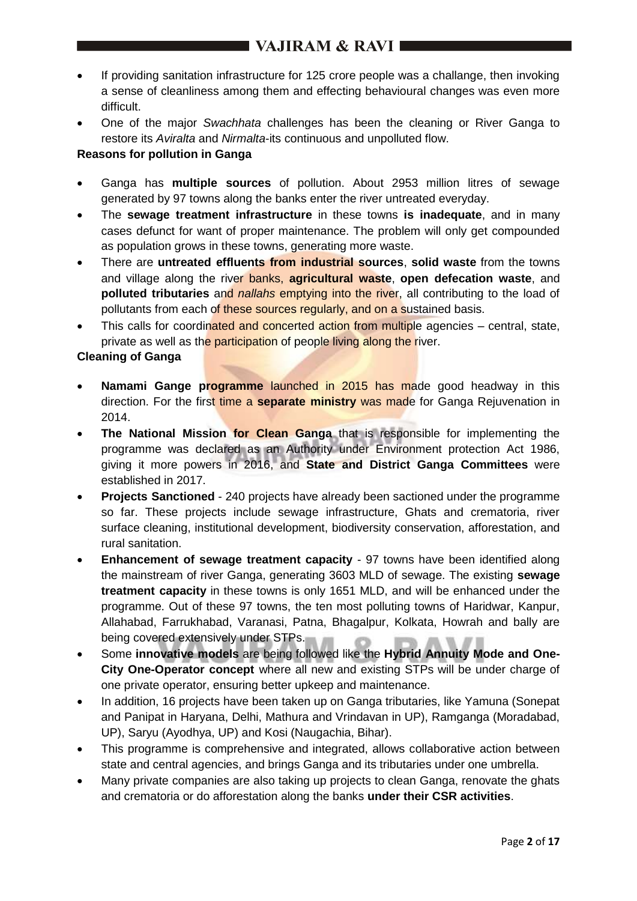- If providing sanitation infrastructure for 125 crore people was a challange, then invoking a sense of cleanliness among them and effecting behavioural changes was even more difficult.
- One of the major *Swachhata* challenges has been the cleaning or River Ganga to restore its *Aviralta* and *Nirmalta*-its continuous and unpolluted flow.

## **Reasons for pollution in Ganga**

- Ganga has **multiple sources** of pollution. About 2953 million litres of sewage generated by 97 towns along the banks enter the river untreated everyday.
- The **sewage treatment infrastructure** in these towns **is inadequate**, and in many cases defunct for want of proper maintenance. The problem will only get compounded as population grows in these towns, generating more waste.
- There are **untreated effluents from industrial sources**, **solid waste** from the towns and village along the river banks, **agricultural waste**, **open defecation waste**, and **polluted tributaries** and *nallahs* emptying into the river, all contributing to the load of pollutants from each of these sources regularly, and on a sustained basis.
- This calls for coordinated and concerted action from multiple agencies central, state, private as well as the participation of people living along the river.

## **Cleaning of Ganga**

- **Namami Gange programme** launched in 2015 has made good headway in this direction. For the first time a **separate ministry** was made for Ganga Rejuvenation in 2014.
- **The National Mission for Clean Ganga** that is responsible for implementing the programme was declared as an Authority under Environment protection Act 1986, giving it more powers in 2016, and **State and District Ganga Committees** were established in 2017.
- **Projects Sanctioned** 240 projects have already been sactioned under the programme so far. These projects include sewage infrastructure, Ghats and crematoria, river surface cleaning, institutional development, biodiversity conservation, afforestation, and rural sanitation.
- **Enhancement of sewage treatment capacity** 97 towns have been identified along the mainstream of river Ganga, generating 3603 MLD of sewage. The existing **sewage treatment capacity** in these towns is only 1651 MLD, and will be enhanced under the programme. Out of these 97 towns, the ten most polluting towns of Haridwar, Kanpur, Allahabad, Farrukhabad, Varanasi, Patna, Bhagalpur, Kolkata, Howrah and bally are being covered extensively under STPs.
- Some **innovative models** are being followed like the **Hybrid Annuity Mode and One-City One-Operator concept** where all new and existing STPs will be under charge of one private operator, ensuring better upkeep and maintenance.
- In addition, 16 projects have been taken up on Ganga tributaries, like Yamuna (Sonepat and Panipat in Haryana, Delhi, Mathura and Vrindavan in UP), Ramganga (Moradabad, UP), Saryu (Ayodhya, UP) and Kosi (Naugachia, Bihar).
- This programme is comprehensive and integrated, allows collaborative action between state and central agencies, and brings Ganga and its tributaries under one umbrella.
- Many private companies are also taking up projects to clean Ganga, renovate the ghats and crematoria or do afforestation along the banks **under their CSR activities**.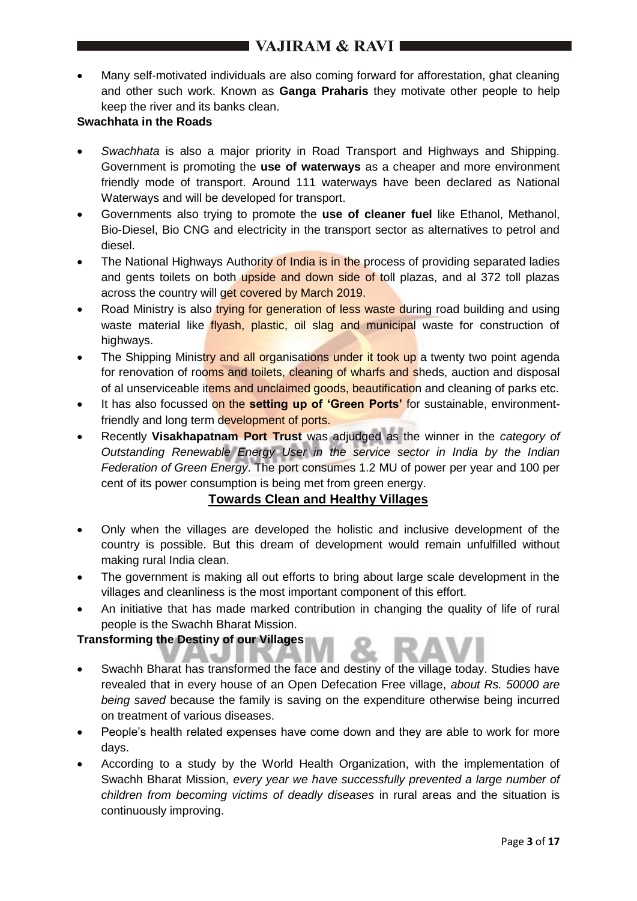# $\blacksquare$  VAJIRAM & RAVI $\blacksquare$

 Many self-motivated individuals are also coming forward for afforestation, ghat cleaning and other such work. Known as **Ganga Praharis** they motivate other people to help keep the river and its banks clean.

## **Swachhata in the Roads**

- *Swachhata* is also a major priority in Road Transport and Highways and Shipping. Government is promoting the **use of waterways** as a cheaper and more environment friendly mode of transport. Around 111 waterways have been declared as National Waterways and will be developed for transport.
- Governments also trying to promote the **use of cleaner fuel** like Ethanol, Methanol, Bio-Diesel, Bio CNG and electricity in the transport sector as alternatives to petrol and diesel.
- The National Highways Authority of India is in the process of providing separated ladies and gents toilets on both upside and down side of toll plazas, and al 372 toll plazas across the country will get covered by March 2019.
- Road Ministry is also trying for generation of less waste during road building and using waste material like *flyash*, plastic, oil slag and municipal waste for construction of highways.
- The Shipping Ministry and all organisations under it took up a twenty two point agenda for renovation of rooms and toilets, cleaning of wharfs and sheds, auction and disposal of al unserviceable items and unclaimed goods, beautification and cleaning of parks etc.
- It has also focussed on the **setting up of 'Green Ports'** for sustainable, environmentfriendly and long term development of ports.
- Recently **Visakhapatnam Port Trust** was adjudged as the winner in the *category of Outstanding Renewable Energy User in the service sector in India by the Indian Federation of Green Energy*. The port consumes 1.2 MU of power per year and 100 per cent of its power consumption is being met from green energy.

## **Towards Clean and Healthy Villages**

- Only when the villages are developed the holistic and inclusive development of the country is possible. But this dream of development would remain unfulfilled without making rural India clean.
- The government is making all out efforts to bring about large scale development in the villages and cleanliness is the most important component of this effort.
- An initiative that has made marked contribution in changing the quality of life of rural people is the Swachh Bharat Mission.

## **Transforming the Destiny of our Villages**

- Swachh Bharat has transformed the face and destiny of the village today. Studies have revealed that in every house of an Open Defecation Free village, *about Rs. 50000 are being saved* because the family is saving on the expenditure otherwise being incurred on treatment of various diseases.
- People's health related expenses have come down and they are able to work for more days.
- According to a study by the World Health Organization, with the implementation of Swachh Bharat Mission, *every year we have successfully prevented a large number of children from becoming victims of deadly diseases* in rural areas and the situation is continuously improving.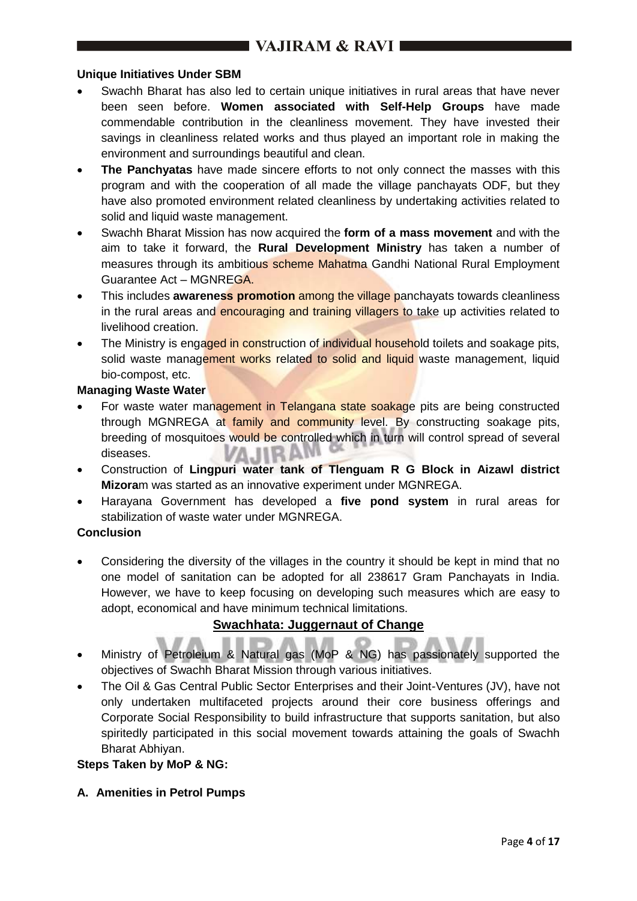#### **Unique Initiatives Under SBM**

- Swachh Bharat has also led to certain unique initiatives in rural areas that have never been seen before. **Women associated with Self-Help Groups** have made commendable contribution in the cleanliness movement. They have invested their savings in cleanliness related works and thus played an important role in making the environment and surroundings beautiful and clean.
- **The Panchyatas** have made sincere efforts to not only connect the masses with this program and with the cooperation of all made the village panchayats ODF, but they have also promoted environment related cleanliness by undertaking activities related to solid and liquid waste management.
- Swachh Bharat Mission has now acquired the **form of a mass movement** and with the aim to take it forward, the **Rural Development Ministry** has taken a number of measures through its ambitious scheme Mahatma Gandhi National Rural Employment Guarantee Act – MGNREGA.
- **•** This includes **awareness promotion** among the village panchayats towards cleanliness in the rural areas and encouraging and training villagers to take up activities related to livelihood creation.
- The Ministry is engaged in construction of individual household toilets and soakage pits, solid waste management works related to solid and liquid waste management, liquid bio-compost, etc.

#### **Managing Waste Water**

- For waste water management in Telangana state soakage pits are being constructed through MGNREGA at family and community level. By constructing soakage pits, breeding of mosquitoes would be controlled which in turn will control spread of several diseases. A IIR
- Construction of **Lingpuri water tank of Tlenguam R G Block in Aizawl district Mizora**m was started as an innovative experiment under MGNREGA.
- Harayana Government has developed a **five pond system** in rural areas for stabilization of waste water under MGNREGA.

## **Conclusion**

 Considering the diversity of the villages in the country it should be kept in mind that no one model of sanitation can be adopted for all 238617 Gram Panchayats in India. However, we have to keep focusing on developing such measures which are easy to adopt, economical and have minimum technical limitations.

## **Swachhata: Juggernaut of Change**

- Ministry of Petroleium & Natural gas (MoP & NG) has passionately supported the objectives of Swachh Bharat Mission through various initiatives.
- The Oil & Gas Central Public Sector Enterprises and their Joint-Ventures (JV), have not only undertaken multifaceted projects around their core business offerings and Corporate Social Responsibility to build infrastructure that supports sanitation, but also spiritedly participated in this social movement towards attaining the goals of Swachh Bharat Abhiyan.

## **Steps Taken by MoP & NG:**

**A. Amenities in Petrol Pumps**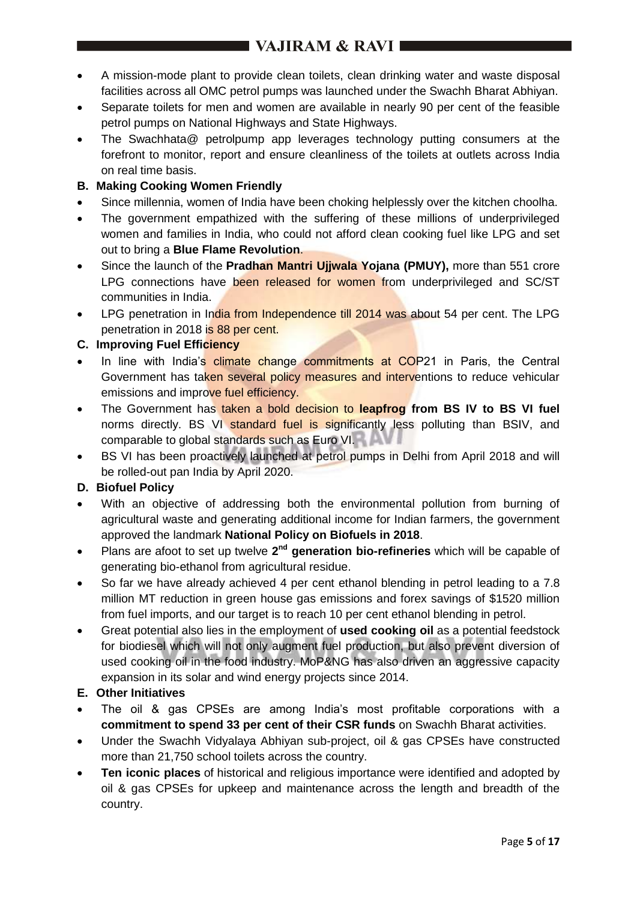- A mission-mode plant to provide clean toilets, clean drinking water and waste disposal facilities across all OMC petrol pumps was launched under the Swachh Bharat Abhiyan.
- Separate toilets for men and women are available in nearly 90 per cent of the feasible petrol pumps on National Highways and State Highways.
- The Swachhata@ petrolpump app leverages technology putting consumers at the forefront to monitor, report and ensure cleanliness of the toilets at outlets across India on real time basis.
- **B. Making Cooking Women Friendly**
- Since millennia, women of India have been choking helplessly over the kitchen choolha.
- The government empathized with the suffering of these millions of underprivileged women and families in India, who could not afford clean cooking fuel like LPG and set out to bring a **Blue Flame Revolution**.
- Since the launch of the **Pradhan Mantri Ujjwala Yojana (PMUY),** more than 551 crore LPG connections have been released for women from underprivileged and SC/ST communities in India.
- LPG penetration in India from Independence till 2014 was about 54 per cent. The LPG penetration in 2018 is 88 per cent.

## **C. Improving Fuel Efficiency**

- In line with India's climate change commitments at COP21 in Paris, the Central Government has taken several policy measures and interventions to reduce vehicular emissions and improve fuel efficiency.
- The Government has taken a bold decision to **leapfrog from BS IV to BS VI fuel** norms directly. BS VI standard fuel is significantly less polluting than BSIV, and comparable to global standards such as Euro VI.
- BS VI has been proactively launched at petrol pumps in Delhi from April 2018 and will be rolled-out pan India by April 2020.

## **D. Biofuel Policy**

- With an objective of addressing both the environmental pollution from burning of agricultural waste and generating additional income for Indian farmers, the government approved the landmark **National Policy on Biofuels in 2018**.
- Plans are afoot to set up twelve 2<sup>nd</sup> generation bio-refineries which will be capable of generating bio-ethanol from agricultural residue.
- So far we have already achieved 4 per cent ethanol blending in petrol leading to a 7.8 million MT reduction in green house gas emissions and forex savings of \$1520 million from fuel imports, and our target is to reach 10 per cent ethanol blending in petrol.
- Great potential also lies in the employment of **used cooking oil** as a potential feedstock for biodiesel which will not only augment fuel production, but also prevent diversion of used cooking oil in the food industry. MoP&NG has also driven an aggressive capacity expansion in its solar and wind energy projects since 2014.

## **E. Other Initiatives**

- The oil & gas CPSEs are among India's most profitable corporations with a **commitment to spend 33 per cent of their CSR funds** on Swachh Bharat activities.
- Under the Swachh Vidyalaya Abhiyan sub-project, oil & gas CPSEs have constructed more than 21,750 school toilets across the country.
- **Ten iconic places** of historical and religious importance were identified and adopted by oil & gas CPSEs for upkeep and maintenance across the length and breadth of the country.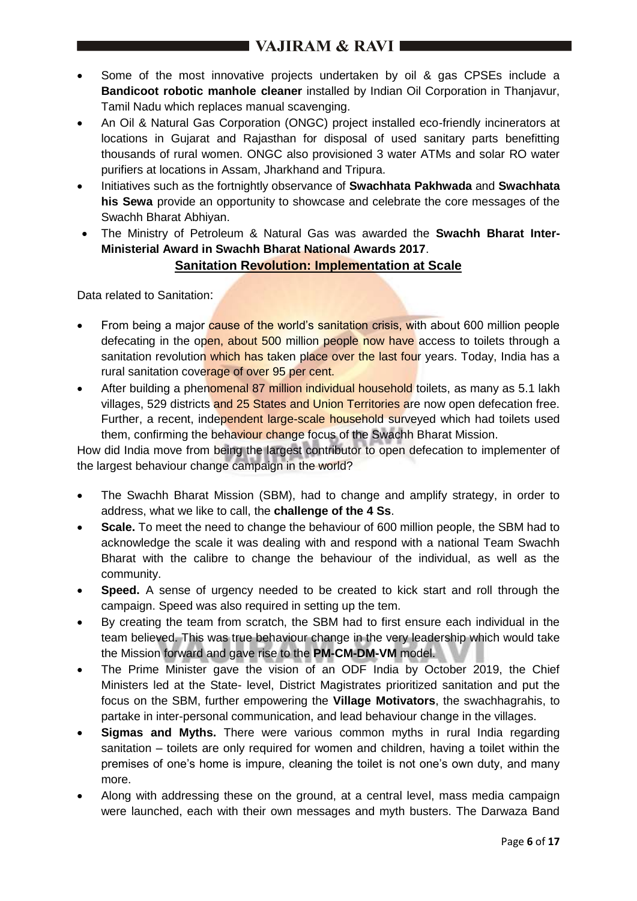- Some of the most innovative projects undertaken by oil & gas CPSEs include a **Bandicoot robotic manhole cleaner** installed by Indian Oil Corporation in Thanjavur, Tamil Nadu which replaces manual scavenging.
- An Oil & Natural Gas Corporation (ONGC) project installed eco-friendly incinerators at locations in Gujarat and Rajasthan for disposal of used sanitary parts benefitting thousands of rural women. ONGC also provisioned 3 water ATMs and solar RO water purifiers at locations in Assam, Jharkhand and Tripura.
- Initiatives such as the fortnightly observance of **Swachhata Pakhwada** and **Swachhata his Sewa** provide an opportunity to showcase and celebrate the core messages of the Swachh Bharat Abhiyan.
- The Ministry of Petroleum & Natural Gas was awarded the **Swachh Bharat Inter-Ministerial Award in Swachh Bharat National Awards 2017**.

# **Sanitation Revolution: Implementation at Scale**

Data related to Sanitation:

- From being a major cause of the world's sanitation crisis, with about 600 million people defecating in the open, about 500 million people now have access to toilets through a sanitation revolution which has taken place over the last four years. Today, India has a rural sanitation coverage of over 95 per cent.
- After building a phenomenal 87 million individual household toilets, as many as 5.1 lakh villages, 529 districts and 25 States and Union Territories are now open defecation free. Further, a recent, independent large-scale household surveyed which had toilets used them, confirming the behaviour change focus of the Swachh Bharat Mission.

How did India move from being the largest contributor to open defecation to implementer of the largest behaviour change campaign in the world?

- The Swachh Bharat Mission (SBM), had to change and amplify strategy, in order to address, what we like to call, the **challenge of the 4 Ss**.
- **Scale.** To meet the need to change the behaviour of 600 million people, the SBM had to acknowledge the scale it was dealing with and respond with a national Team Swachh Bharat with the calibre to change the behaviour of the individual, as well as the community.
- **Speed.** A sense of urgency needed to be created to kick start and roll through the campaign. Speed was also required in setting up the tem.
- By creating the team from scratch, the SBM had to first ensure each individual in the team believed. This was true behaviour change in the very leadership which would take the Mission forward and gave rise to the **PM-CM-DM-VM** model.
- The Prime Minister gave the vision of an ODF India by October 2019, the Chief Ministers led at the State- level, District Magistrates prioritized sanitation and put the focus on the SBM, further empowering the **Village Motivators**, the swachhagrahis, to partake in inter-personal communication, and lead behaviour change in the villages.
- **Sigmas and Myths.** There were various common myths in rural India regarding sanitation – toilets are only required for women and children, having a toilet within the premises of one's home is impure, cleaning the toilet is not one's own duty, and many more.
- Along with addressing these on the ground, at a central level, mass media campaign were launched, each with their own messages and myth busters. The Darwaza Band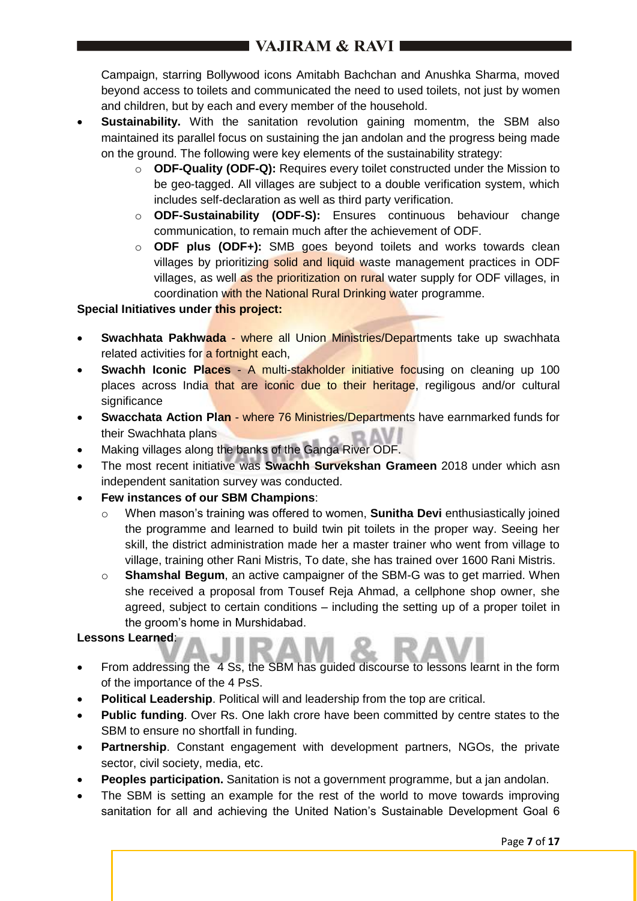Campaign, starring Bollywood icons Amitabh Bachchan and Anushka Sharma, moved beyond access to toilets and communicated the need to used toilets, not just by women and children, but by each and every member of the household.

- **Sustainability.** With the sanitation revolution gaining momentm, the SBM also maintained its parallel focus on sustaining the jan andolan and the progress being made on the ground. The following were key elements of the sustainability strategy:
	- o **ODF-Quality (ODF-Q):** Requires every toilet constructed under the Mission to be geo-tagged. All villages are subject to a double verification system, which includes self-declaration as well as third party verification.
	- o **ODF-Sustainability (ODF-S):** Ensures continuous behaviour change communication, to remain much after the achievement of ODF.
	- o **ODF plus (ODF+):** SMB goes beyond toilets and works towards clean villages by prioritizing solid and liquid waste management practices in ODF villages, as well as the prioritization on rural water supply for ODF villages, in coordination with the National Rural Drinking water programme.

## **Special Initiatives under this project:**

- **Swachhata Pakhwada** where all Union Ministries/Departments take up swachhata related activities for a fortnight each,
- **Swachh Iconic Places** A multi-stakholder initiative focusing on cleaning up 100 places across India that are iconic due to their heritage, regiligous and/or cultural significance
- **Swacchata Action Plan where 76 Ministries/Departments have earnmarked funds for** their Swachhata plans
- Making villages along the banks of the Ganga River ODF.
- The most recent initiative was **Swachh Survekshan Grameen** 2018 under which asn independent sanitation survey was conducted.
- **Few instances of our SBM Champions**:
	- o When mason's training was offered to women, **Sunitha Devi** enthusiastically joined the programme and learned to build twin pit toilets in the proper way. Seeing her skill, the district administration made her a master trainer who went from village to village, training other Rani Mistris, To date, she has trained over 1600 Rani Mistris.
	- o **Shamshal Begum**, an active campaigner of the SBM-G was to get married. When she received a proposal from Tousef Reja Ahmad, a cellphone shop owner, she agreed, subject to certain conditions – including the setting up of a proper toilet in the groom's home in Murshidabad.

## **Lessons Learned**:

- From addressing the 4 Ss, the SBM has guided discourse to lessons learnt in the form of the importance of the 4 PsS.
- **Political Leadership**. Political will and leadership from the top are critical.
- **Public funding**. Over Rs. One lakh crore have been committed by centre states to the SBM to ensure no shortfall in funding.
- **Partnership**. Constant engagement with development partners, NGOs, the private sector, civil society, media, etc.
- **Peoples participation.** Sanitation is not a government programme, but a jan andolan.
- The SBM is setting an example for the rest of the world to move towards improving sanitation for all and achieving the United Nation's Sustainable Development Goal 6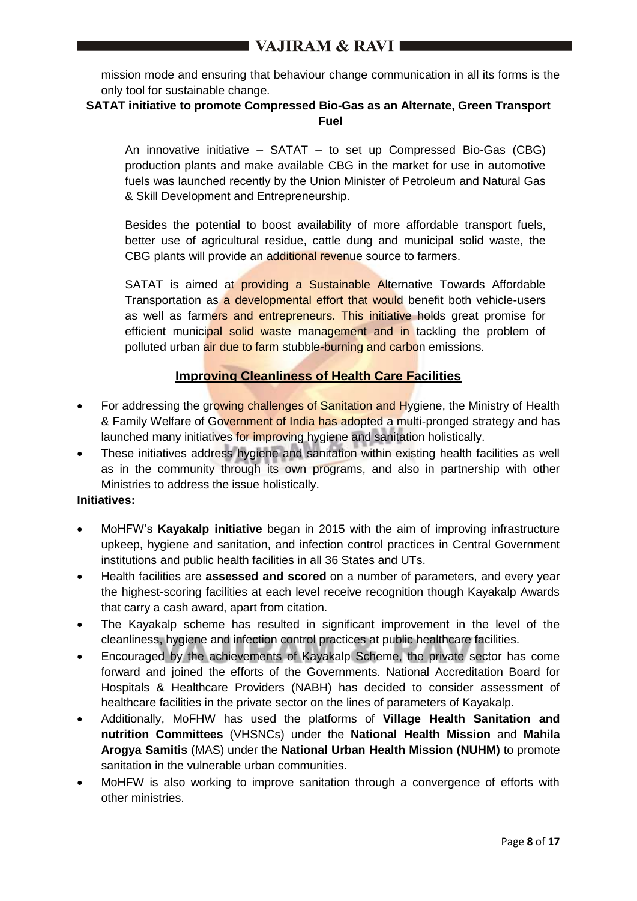mission mode and ensuring that behaviour change communication in all its forms is the only tool for sustainable change.

## **SATAT initiative to promote Compressed Bio-Gas as an Alternate, Green Transport Fuel**

An innovative initiative – SATAT – to set up Compressed Bio-Gas (CBG) production plants and make available CBG in the market for use in automotive fuels was launched recently by the Union Minister of Petroleum and Natural Gas & Skill Development and Entrepreneurship.

Besides the potential to boost availability of more affordable transport fuels, better use of agricultural residue, cattle dung and municipal solid waste, the CBG plants will provide an additional revenue source to farmers.

SATAT is aimed at **providing a Sustainable Alternative Towards Affordable** Transportation as a developmental effort that would benefit both vehicle-users as well as farmers and entrepreneurs. This initiative holds great promise for efficient municipal solid waste management and in tackling the problem of polluted urban air due to farm stubble-burning and carbon emissions.

## **Improving Cleanliness of Health Care Facilities**

- For addressing the growing challenges of Sanitation and Hygiene, the Ministry of Health & Family Welfare of Government of India has adopted a multi-pronged strategy and has launched many initiatives for improving hygiene and sanitation holistically.
- These initiatives address hygiene and sanitation within existing health facilities as well as in the community through its own programs, and also in partnership with other Ministries to address the issue holistically.

## **Initiatives:**

- MoHFW's **Kayakalp initiative** began in 2015 with the aim of improving infrastructure upkeep, hygiene and sanitation, and infection control practices in Central Government institutions and public health facilities in all 36 States and UTs.
- Health facilities are **assessed and scored** on a number of parameters, and every year the highest-scoring facilities at each level receive recognition though Kayakalp Awards that carry a cash award, apart from citation.
- The Kayakalp scheme has resulted in significant improvement in the level of the cleanliness, hygiene and infection control practices at public healthcare facilities.
- Encouraged by the achievements of Kayakalp Scheme, the private sector has come forward and joined the efforts of the Governments. National Accreditation Board for Hospitals & Healthcare Providers (NABH) has decided to consider assessment of healthcare facilities in the private sector on the lines of parameters of Kayakalp.
- Additionally, MoFHW has used the platforms of **Village Health Sanitation and nutrition Committees** (VHSNCs) under the **National Health Mission** and **Mahila Arogya Samitis** (MAS) under the **National Urban Health Mission (NUHM)** to promote sanitation in the vulnerable urban communities.
- MoHFW is also working to improve sanitation through a convergence of efforts with other ministries.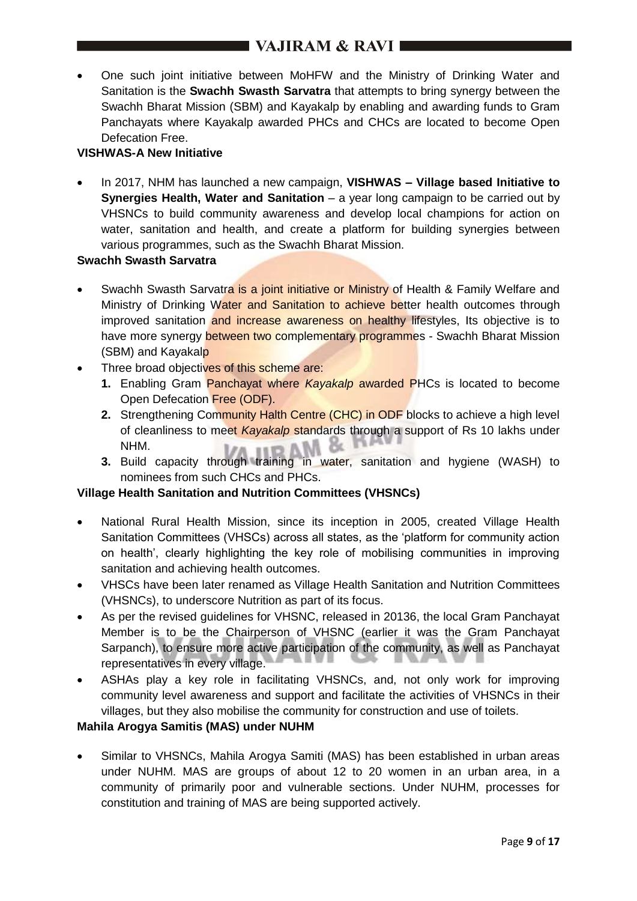# $\blacksquare$  VAJIRAM & RAVI $\blacksquare$

 One such joint initiative between MoHFW and the Ministry of Drinking Water and Sanitation is the **Swachh Swasth Sarvatra** that attempts to bring synergy between the Swachh Bharat Mission (SBM) and Kayakalp by enabling and awarding funds to Gram Panchayats where Kayakalp awarded PHCs and CHCs are located to become Open Defecation Free.

## **VISHWAS-A New Initiative**

 In 2017, NHM has launched a new campaign, **VISHWAS – Village based Initiative to Synergies Health, Water and Sanitation** – a year long campaign to be carried out by VHSNCs to build community awareness and develop local champions for action on water, sanitation and health, and create a platform for building synergies between various programmes, such as the Swachh Bharat Mission.

## **Swachh Swasth Sarvatra**

- Swachh Swasth Sarvatra is a joint initiative or Ministry of Health & Family Welfare and Ministry of Drinking Water and Sanitation to achieve better health outcomes through improved sanitation and increase awareness on healthy lifestyles, Its objective is to have more synergy between two complementary programmes - Swachh Bharat Mission (SBM) and Kayakalp
- Three broad objectives of this scheme are:
	- **1.** Enabling Gram Panchayat where *Kayakalp* awarded PHCs is located to become Open Defecation Free (ODF).
	- **2.** Strengthening Community Halth Centre (CHC) in ODF blocks to achieve a high level of cleanliness to meet *Kayakalp* standards through a support of Rs 10 lakhs under NHM.
	- **3.** Build capacity through training in water, sanitation and hygiene (WASH) to nominees from such CHCs and PHCs.

## **Village Health Sanitation and Nutrition Committees (VHSNCs)**

- National Rural Health Mission, since its inception in 2005, created Village Health Sanitation Committees (VHSCs) across all states, as the 'platform for community action on health', clearly highlighting the key role of mobilising communities in improving sanitation and achieving health outcomes.
- VHSCs have been later renamed as Village Health Sanitation and Nutrition Committees (VHSNCs), to underscore Nutrition as part of its focus.
- As per the revised guidelines for VHSNC, released in 20136, the local Gram Panchayat Member is to be the Chairperson of VHSNC (earlier it was the Gram Panchayat Sarpanch), to ensure more active participation of the community, as well as Panchayat representatives in every village.
- ASHAs play a key role in facilitating VHSNCs, and, not only work for improving community level awareness and support and facilitate the activities of VHSNCs in their villages, but they also mobilise the community for construction and use of toilets.

## **Mahila Arogya Samitis (MAS) under NUHM**

• Similar to VHSNCs, Mahila Arogya Samiti (MAS) has been established in urban areas under NUHM. MAS are groups of about 12 to 20 women in an urban area, in a community of primarily poor and vulnerable sections. Under NUHM, processes for constitution and training of MAS are being supported actively.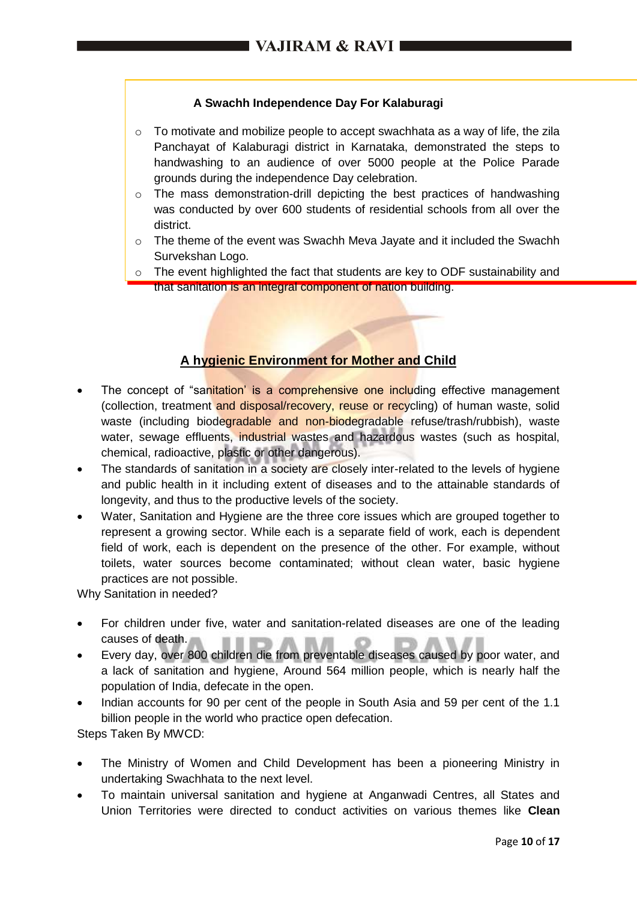## **A Swachh Independence Day For Kalaburagi**

- $\circ$  To motivate and mobilize people to accept swachhata as a way of life, the zila Panchayat of Kalaburagi district in Karnataka, demonstrated the steps to handwashing to an audience of over 5000 people at the Police Parade grounds during the independence Day celebration.
- $\circ$  The mass demonstration-drill depicting the best practices of handwashing was conducted by over 600 students of residential schools from all over the district.
- $\circ$  The theme of the event was Swachh Meva Jayate and it included the Swachh Survekshan Logo.
- $\circ$  The event highlighted the fact that students are key to ODF sustainability and that sanitation is an integral component of nation building.

## **A hygienic Environment for Mother and Child**

- The concept of "sanitation" is a comprehensive one including effective management (collection, treatment and disposal/recovery, reuse or recycling) of human waste, solid waste (including biodegradable and non-biodegradable refuse/trash/rubbish), waste water, sewage effluents, industrial wastes and hazardous wastes (such as hospital, chemical, radioactive, plastic or other dangerous).
- The standards of sanitation in a society are closely inter-related to the levels of hygiene and public health in it including extent of diseases and to the attainable standards of longevity, and thus to the productive levels of the society.
- Water, Sanitation and Hygiene are the three core issues which are grouped together to represent a growing sector. While each is a separate field of work, each is dependent field of work, each is dependent on the presence of the other. For example, without toilets, water sources become contaminated; without clean water, basic hygiene practices are not possible.

Why Sanitation in needed?

- For children under five, water and sanitation-related diseases are one of the leading causes of death.
- Every day, over 800 children die from preventable diseases caused by poor water, and a lack of sanitation and hygiene, Around 564 million people, which is nearly half the population of India, defecate in the open.
- Indian accounts for 90 per cent of the people in South Asia and 59 per cent of the 1.1 billion people in the world who practice open defecation.

Steps Taken By MWCD:

- The Ministry of Women and Child Development has been a pioneering Ministry in undertaking Swachhata to the next level.
- To maintain universal sanitation and hygiene at Anganwadi Centres, all States and Union Territories were directed to conduct activities on various themes like **Clean**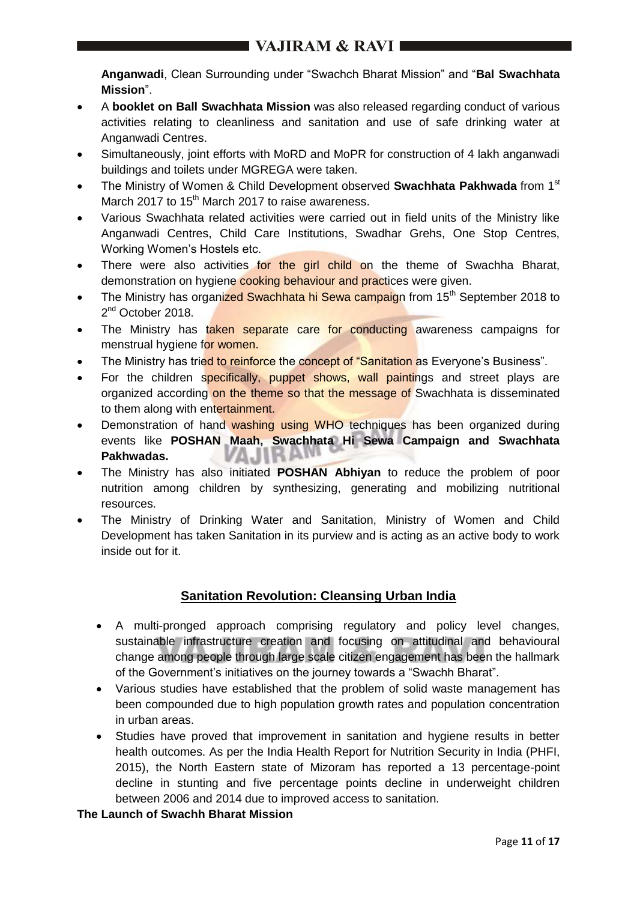**Anganwadi**, Clean Surrounding under "Swachch Bharat Mission" and "**Bal Swachhata Mission**".

- A **booklet on Ball Swachhata Mission** was also released regarding conduct of various activities relating to cleanliness and sanitation and use of safe drinking water at Anganwadi Centres.
- Simultaneously, joint efforts with MoRD and MoPR for construction of 4 lakh anganwadi buildings and toilets under MGREGA were taken.
- The Ministry of Women & Child Development observed **Swachhata Pakhwada** from 1st March 2017 to 15<sup>th</sup> March 2017 to raise awareness.
- Various Swachhata related activities were carried out in field units of the Ministry like Anganwadi Centres, Child Care Institutions, Swadhar Grehs, One Stop Centres, Working Women's Hostels etc.
- There were also activities for the girl child on the theme of Swachha Bharat, demonstration on hygiene cooking behaviour and practices were given.
- The Ministry has organized Swachhata hi Sewa campaign from 15<sup>th</sup> September 2018 to 2<sup>nd</sup> October 2018.
- The Ministry has taken separate care for conducting awareness campaigns for menstrual hygiene for women.
- The Ministry has tried to reinforce the concept of "Sanitation as Everyone's Business".
- For the children specifically, puppet shows, wall paintings and street plays are organized according on the theme so that the message of Swachhata is disseminated to them along with entertainment.
- Demonstration of hand washing using WHO techniques has been organized during events like **POSHAN Maah, Swachhata Hi Sewa Campaign and Swachhata Pakhwadas.** VA.IIK
- The Ministry has also initiated **POSHAN Abhiyan** to reduce the problem of poor nutrition among children by synthesizing, generating and mobilizing nutritional resources.
- The Ministry of Drinking Water and Sanitation, Ministry of Women and Child Development has taken Sanitation in its purview and is acting as an active body to work inside out for it.

## **Sanitation Revolution: Cleansing Urban India**

- A multi-pronged approach comprising regulatory and policy level changes, sustainable infrastructure creation and focusing on attitudinal and behavioural change among people through large scale citizen engagement has been the hallmark of the Government's initiatives on the journey towards a "Swachh Bharat".
- Various studies have established that the problem of solid waste management has been compounded due to high population growth rates and population concentration in urban areas.
- Studies have proved that improvement in sanitation and hygiene results in better health outcomes. As per the India Health Report for Nutrition Security in India (PHFI, 2015), the North Eastern state of Mizoram has reported a 13 percentage-point decline in stunting and five percentage points decline in underweight children between 2006 and 2014 due to improved access to sanitation.

## **The Launch of Swachh Bharat Mission**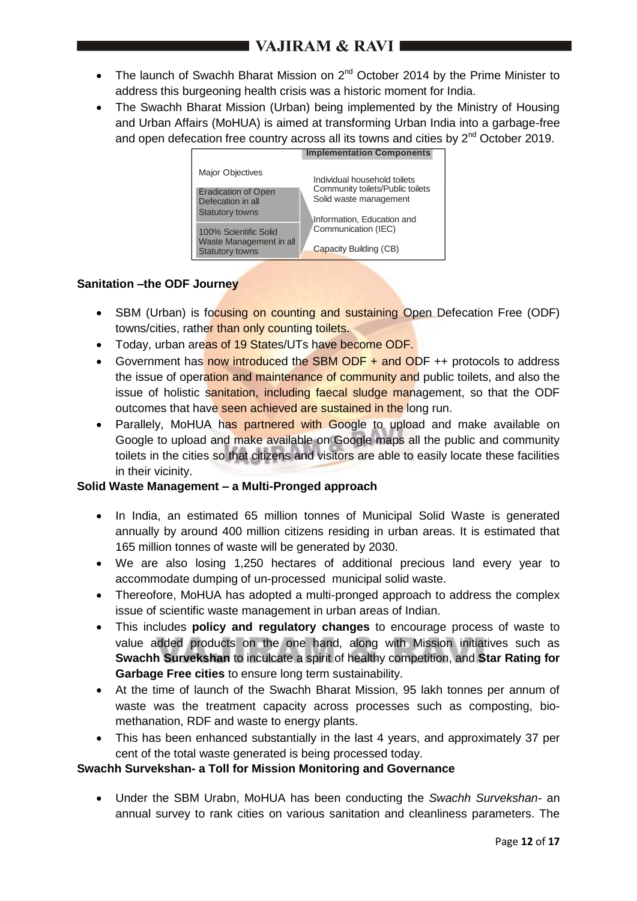- The launch of Swachh Bharat Mission on  $2^{nd}$  October 2014 by the Prime Minister to address this burgeoning health crisis was a historic moment for India.
- The Swachh Bharat Mission (Urban) being implemented by the Ministry of Housing and Urban Affairs (MoHUA) is aimed at transforming Urban India into a garbage-free and open defecation free country across all its towns and cities by 2<sup>nd</sup> October 2019.



## **Sanitation –the ODF Journey**

- SBM (Urban) is focusing on counting and sustaining Open Defecation Free (ODF) towns/cities, rather than only counting toilets.
- Today, urban areas of 19 States/UTs have become ODF.
- Government has now introduced the SBM ODF + and ODF ++ protocols to address the issue of operation and maintenance of community and public toilets, and also the issue of holistic sanitation, including faecal sludge management, so that the ODF outcomes that have seen achieved are sustained in the long run.
- Parallely, MoHUA has partnered with Google to upload and make available on Google to upload and make available on Google maps all the public and community toilets in the cities so that citizens and visitors are able to easily locate these facilities in their vicinity.

## **Solid Waste Management – a Multi-Pronged approach**

- In India, an estimated 65 million tonnes of Municipal Solid Waste is generated annually by around 400 million citizens residing in urban areas. It is estimated that 165 million tonnes of waste will be generated by 2030.
- We are also losing 1,250 hectares of additional precious land every year to accommodate dumping of un-processed municipal solid waste.
- Thereofore, MoHUA has adopted a multi-pronged approach to address the complex issue of scientific waste management in urban areas of Indian.
- This includes **policy and regulatory changes** to encourage process of waste to value added products on the one hand, along with Mission initiatives such as **Swachh Survekshan** to inculcate a spirit of healthy competition, and **Star Rating for Garbage Free cities** to ensure long term sustainability.
- At the time of launch of the Swachh Bharat Mission, 95 lakh tonnes per annum of waste was the treatment capacity across processes such as composting, biomethanation, RDF and waste to energy plants.
- This has been enhanced substantially in the last 4 years, and approximately 37 per cent of the total waste generated is being processed today.

## **Swachh Survekshan- a Toll for Mission Monitoring and Governance**

 Under the SBM Urabn, MoHUA has been conducting the *Swachh Survekshan-* an annual survey to rank cities on various sanitation and cleanliness parameters. The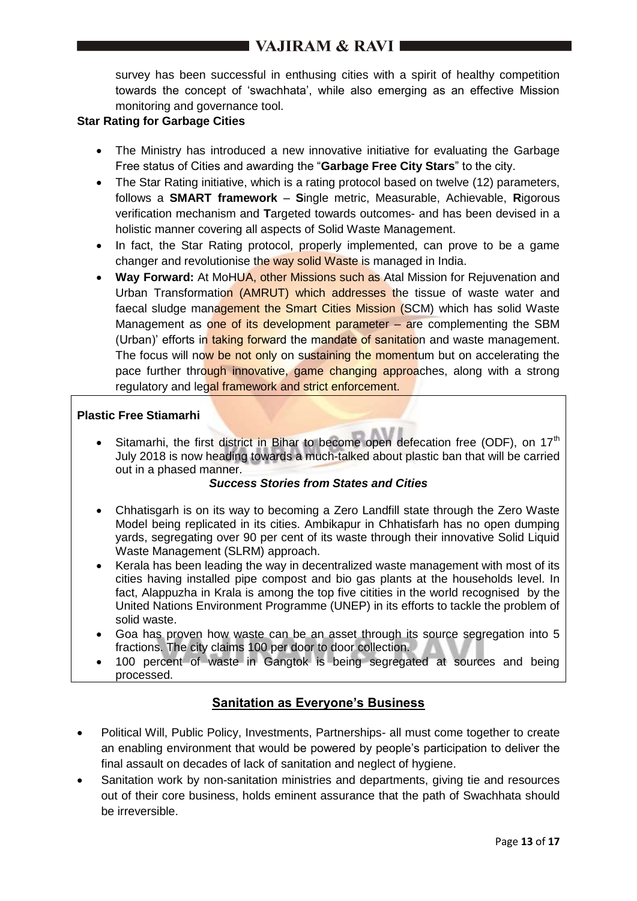# $\blacksquare$  VAJIRAM & RAVI $\blacksquare$

survey has been successful in enthusing cities with a spirit of healthy competition towards the concept of 'swachhata', while also emerging as an effective Mission monitoring and governance tool.

#### **Star Rating for Garbage Cities**

- The Ministry has introduced a new innovative initiative for evaluating the Garbage Free status of Cities and awarding the "**Garbage Free City Stars**" to the city.
- The Star Rating initiative, which is a rating protocol based on twelve (12) parameters, follows a **SMART framework** – **S**ingle metric, Measurable, Achievable, **R**igorous verification mechanism and **T**argeted towards outcomes- and has been devised in a holistic manner covering all aspects of Solid Waste Management.
- In fact, the Star Rating protocol, properly implemented, can prove to be a game changer and revolutionise the way solid Waste is managed in India.
- **Way Forward:** At MoHUA, other Missions such as Atal Mission for Rejuvenation and Urban Transformation (AMRUT) which addresses the tissue of waste water and faecal sludge management the Smart Cities Mission (SCM) which has solid Waste Management as one of its development parameter - are complementing the SBM (Urban)' efforts in taking forward the mandate of sanitation and waste management. The focus will now be not only on sustaining the momentum but on accelerating the pace further through innovative, game changing approaches, along with a strong regulatory and legal framework and strict enforcement.

## **Plastic Free Stiamarhi**

Sitamarhi, the first district in Bihar to become open defecation free (ODF), on  $17<sup>th</sup>$ July 2018 is now heading towards a much-talked about plastic ban that will be carried out in a phased manner.

#### *Success Stories from States and Cities*

- Chhatisgarh is on its way to becoming a Zero Landfill state through the Zero Waste Model being replicated in its cities. Ambikapur in Chhatisfarh has no open dumping yards, segregating over 90 per cent of its waste through their innovative Solid Liquid Waste Management (SLRM) approach.
- Kerala has been leading the way in decentralized waste management with most of its cities having installed pipe compost and bio gas plants at the households level. In fact, Alappuzha in Krala is among the top five citities in the world recognised by the United Nations Environment Programme (UNEP) in its efforts to tackle the problem of solid waste.
- Goa has proven how waste can be an asset through its source segregation into 5 fractions. The city claims 100 per door to door collection.
- 100 percent of waste in Gangtok is being segregated at sources and being processed.

## **Sanitation as Everyone's Business**

- Political Will, Public Policy, Investments, Partnerships- all must come together to create an enabling environment that would be powered by people's participation to deliver the final assault on decades of lack of sanitation and neglect of hygiene.
- Sanitation work by non-sanitation ministries and departments, giving tie and resources out of their core business, holds eminent assurance that the path of Swachhata should be irreversible.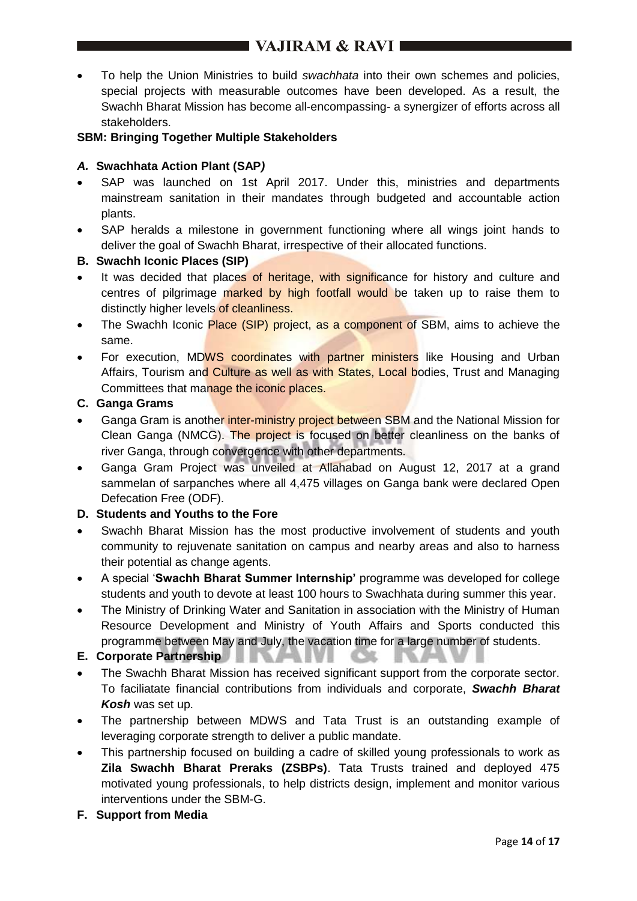To help the Union Ministries to build *swachhata* into their own schemes and policies, special projects with measurable outcomes have been developed. As a result, the Swachh Bharat Mission has become all-encompassing- a synergizer of efforts across all stakeholders.

## **SBM: Bringing Together Multiple Stakeholders**

#### *A.* **Swachhata Action Plant (SAP***)*

- SAP was launched on 1st April 2017. Under this, ministries and departments mainstream sanitation in their mandates through budgeted and accountable action plants.
- SAP heralds a milestone in government functioning where all wings joint hands to deliver the goal of Swachh Bharat, irrespective of their allocated functions.

#### **B. Swachh Iconic Places (SIP)**

- It was decided that places of heritage, with significance for history and culture and centres of pilgrimage marked by high footfall would be taken up to raise them to distinctly higher levels of cleanliness.
- The Swachh Iconic Place (SIP) project, as a component of SBM, aims to achieve the same.
- For execution, MDWS coordinates with partner ministers like Housing and Urban Affairs, Tourism and Culture as well as with States, Local bodies, Trust and Managing Committees that manage the iconic places.

## **C. Ganga Grams**

- Ganga Gram is another inter-ministry project between SBM and the National Mission for Clean Ganga (NMCG). The project is focused on better cleanliness on the banks of river Ganga, through convergence with other departments.
- Ganga Gram Project was unveiled at Allahabad on August 12, 2017 at a grand sammelan of sarpanches where all 4,475 villages on Ganga bank were declared Open Defecation Free (ODF).

## **D. Students and Youths to the Fore**

- Swachh Bharat Mission has the most productive involvement of students and youth community to rejuvenate sanitation on campus and nearby areas and also to harness their potential as change agents.
- A special '**Swachh Bharat Summer Internship'** programme was developed for college students and youth to devote at least 100 hours to Swachhata during summer this year.
- The Ministry of Drinking Water and Sanitation in association with the Ministry of Human Resource Development and Ministry of Youth Affairs and Sports conducted this programme between May and July, the vacation time for a large number of students.

## **E. Corporate Partnership**

 The Swachh Bharat Mission has received significant support from the corporate sector. To faciliatate financial contributions from individuals and corporate, *Swachh Bharat Kosh* was set up.

 $\alpha$ 

- The partnership between MDWS and Tata Trust is an outstanding example of leveraging corporate strength to deliver a public mandate.
- This partnership focused on building a cadre of skilled young professionals to work as **Zila Swachh Bharat Preraks (ZSBPs)**. Tata Trusts trained and deployed 475 motivated young professionals, to help districts design, implement and monitor various interventions under the SBM-G.
- **F. Support from Media**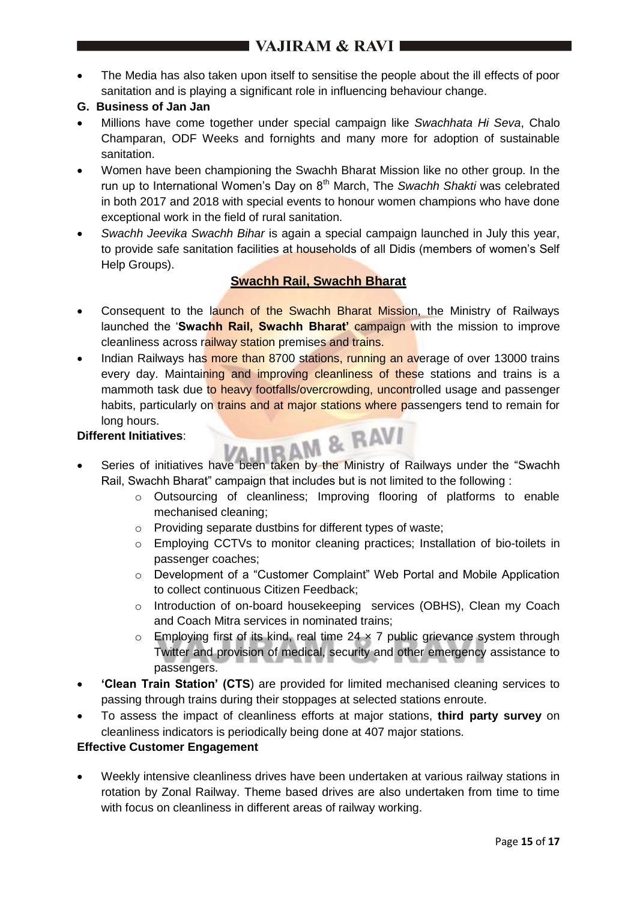- The Media has also taken upon itself to sensitise the people about the ill effects of poor sanitation and is playing a significant role in influencing behaviour change.
- **G. Business of Jan Jan**
- Millions have come together under special campaign like *Swachhata Hi Seva*, Chalo Champaran, ODF Weeks and fornights and many more for adoption of sustainable sanitation.
- Women have been championing the Swachh Bharat Mission like no other group. In the run up to International Women's Day on 8<sup>th</sup> March, The *Swachh Shakti* was celebrated in both 2017 and 2018 with special events to honour women champions who have done exceptional work in the field of rural sanitation.
- *Swachh Jeevika Swachh Bihar* is again a special campaign launched in July this year, to provide safe sanitation facilities at households of all Didis (members of women's Self Help Groups).

## **Swachh Rail, Swachh Bharat**

- Consequent to the launch of the Swachh Bharat Mission, the Ministry of Railways launched the '**Swachh Rail, Swachh Bharat'** campaign with the mission to improve cleanliness across railway station premises and trains.
- Indian Railways has more than 8700 stations, running an average of over 13000 trains every day. Maintaining and improving cleanliness of these stations and trains is a mammoth task due to heavy footfalls/overcrowding, uncontrolled usage and passenger habits, particularly on *trains and at major stations where passengers tend to remain for* long hours.

## **Different Initiatives**:

- Series of initiatives have been taken by the Ministry of Railways under the "Swachh Rail, Swachh Bharat" campaign that includes but is not limited to the following :
	- o Outsourcing of cleanliness; Improving flooring of platforms to enable mechanised cleaning;
	- o Providing separate dustbins for different types of waste;
	- o Employing CCTVs to monitor cleaning practices; Installation of bio-toilets in passenger coaches;
	- o Development of a "Customer Complaint" Web Portal and Mobile Application to collect continuous Citizen Feedback;
	- o Introduction of on-board housekeeping services (OBHS), Clean my Coach and Coach Mitra services in nominated trains;
	- $\circ$  Employing first of its kind, real time 24  $\times$  7 public grievance system through Twitter and provision of medical, security and other emergency assistance to passengers.
- **'Clean Train Station' (CTS**) are provided for limited mechanised cleaning services to passing through trains during their stoppages at selected stations enroute.
- To assess the impact of cleanliness efforts at major stations, **third party survey** on cleanliness indicators is periodically being done at 407 major stations.

## **Effective Customer Engagement**

 Weekly intensive cleanliness drives have been undertaken at various railway stations in rotation by Zonal Railway. Theme based drives are also undertaken from time to time with focus on cleanliness in different areas of railway working.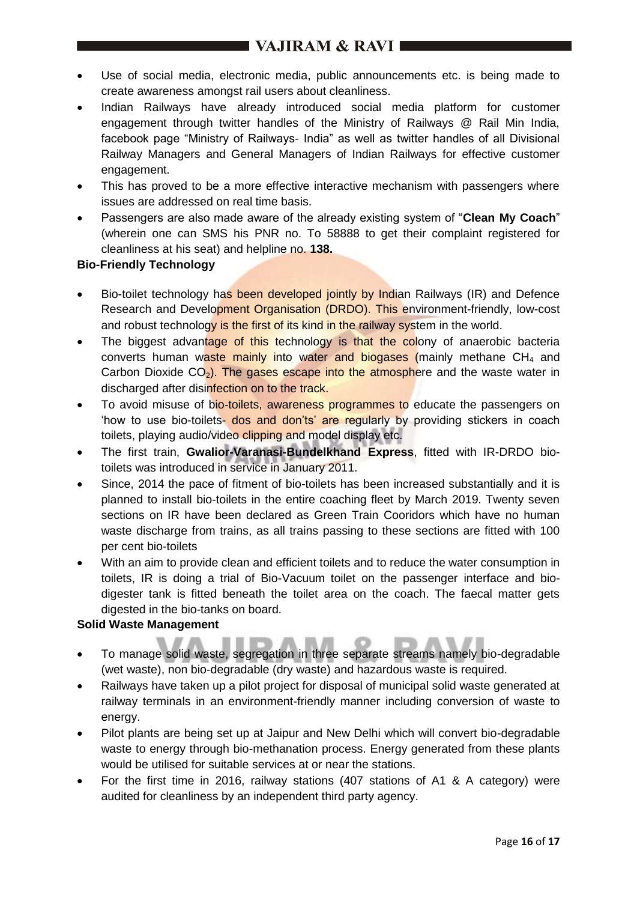- Use of social media, electronic media, public announcements etc. is being made to create awareness amongst rail users about cleanliness.
- Indian Railways have already introduced social media platform for customer engagement through twitter handles of the Ministry of Railways @ Rail Min India, facebook page "Ministry of Railways- India" as well as twitter handles of all Divisional Railway Managers and General Managers of Indian Railways for effective customer engagement.
- This has proved to be a more effective interactive mechanism with passengers where issues are addressed on real time basis.
- Passengers are also made aware of the already existing system of "**Clean My Coach**" (wherein one can SMS his PNR no. To 58888 to get their complaint registered for cleanliness at his seat) and helpline no. **138.**

## **Bio-Friendly Technology**

- Bio-toilet technology has been developed jointly by Indian Railways (IR) and Defence Research and Development Organisation (DRDO). This environment-friendly, low-cost and robust technology is the first of its kind in the railway system in the world.
- The biggest advantage of this technology is that the colony of anaerobic bacteria converts human waste mainly into water and biogases (mainly methane  $CH<sub>4</sub>$  and Carbon Dioxide  $CO<sub>2</sub>$ ). The gases escape into the atmosphere and the waste water in discharged after disinfection on to the track.
- To avoid misuse of bio-toilets, awareness programmes to educate the passengers on 'how to use bio-toilets- dos and don'ts' are regularly by providing stickers in coach toilets, playing audio/video clipping and model display etc.
- The first train, **Gwalior-Varanasi-Bundelkhand Express**, fitted with IR-DRDO biotoilets was introduced in service in January 2011.
- Since, 2014 the pace of fitment of bio-toilets has been increased substantially and it is planned to install bio-toilets in the entire coaching fleet by March 2019. Twenty seven sections on IR have been declared as Green Train Cooridors which have no human waste discharge from trains, as all trains passing to these sections are fitted with 100 per cent bio-toilets
- With an aim to provide clean and efficient toilets and to reduce the water consumption in toilets, IR is doing a trial of Bio-Vacuum toilet on the passenger interface and biodigester tank is fitted beneath the toilet area on the coach. The faecal matter gets digested in the bio-tanks on board.

## **Solid Waste Management**

- To manage solid waste, segregation in three separate streams namely bio-degradable (wet waste), non bio-degradable (dry waste) and hazardous waste is required.
- Railways have taken up a pilot project for disposal of municipal solid waste generated at railway terminals in an environment-friendly manner including conversion of waste to energy.
- Pilot plants are being set up at Jaipur and New Delhi which will convert bio-degradable waste to energy through bio-methanation process. Energy generated from these plants would be utilised for suitable services at or near the stations.
- For the first time in 2016, railway stations (407 stations of A1 & A category) were audited for cleanliness by an independent third party agency.